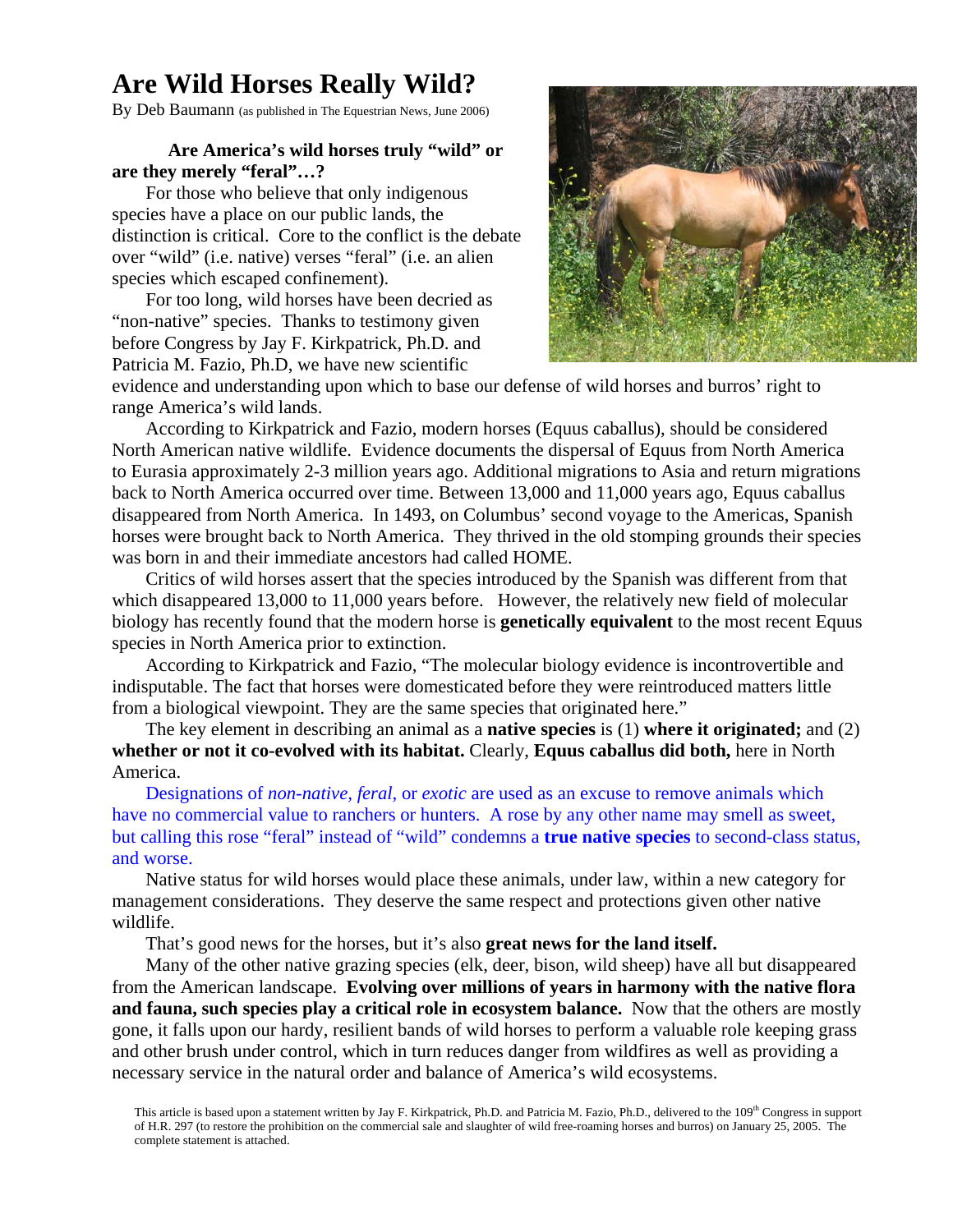## **Are Wild Horses Really Wild?**

By Deb Baumann (as published in The Equestrian News, June 2006)

## **Are America's wild horses truly "wild" or are they merely "feral"…?**

For those who believe that only indigenous species have a place on our public lands, the distinction is critical. Core to the conflict is the debate over "wild" (i.e. native) verses "feral" (i.e. an alien species which escaped confinement).

For too long, wild horses have been decried as "non-native" species. Thanks to testimony given before Congress by Jay F. Kirkpatrick, Ph.D. and Patricia M. Fazio, Ph.D, we have new scientific



evidence and understanding upon which to base our defense of wild horses and burros' right to range America's wild lands.

According to Kirkpatrick and Fazio, modern horses (Equus caballus), should be considered North American native wildlife. Evidence documents the dispersal of Equus from North America to Eurasia approximately 2-3 million years ago. Additional migrations to Asia and return migrations back to North America occurred over time. Between 13,000 and 11,000 years ago, Equus caballus disappeared from North America. In 1493, on Columbus' second voyage to the Americas, Spanish horses were brought back to North America. They thrived in the old stomping grounds their species was born in and their immediate ancestors had called HOME.

Critics of wild horses assert that the species introduced by the Spanish was different from that which disappeared 13,000 to 11,000 years before. However, the relatively new field of molecular biology has recently found that the modern horse is **genetically equivalent** to the most recent Equus species in North America prior to extinction.

According to Kirkpatrick and Fazio, "The molecular biology evidence is incontrovertible and indisputable. The fact that horses were domesticated before they were reintroduced matters little from a biological viewpoint. They are the same species that originated here."

The key element in describing an animal as a **native species** is (1) **where it originated;** and (2) **whether or not it co-evolved with its habitat.** Clearly, **Equus caballus did both,** here in North America.

Designations of *non-native, feral*, or *exotic* are used as an excuse to remove animals which have no commercial value to ranchers or hunters. A rose by any other name may smell as sweet, but calling this rose "feral" instead of "wild" condemns a **true native species** to second-class status, and worse.

Native status for wild horses would place these animals, under law, within a new category for management considerations. They deserve the same respect and protections given other native wildlife.

That's good news for the horses, but it's also **great news for the land itself.**

Many of the other native grazing species (elk, deer, bison, wild sheep) have all but disappeared from the American landscape. **Evolving over millions of years in harmony with the native flora and fauna, such species play a critical role in ecosystem balance.** Now that the others are mostly gone, it falls upon our hardy, resilient bands of wild horses to perform a valuable role keeping grass and other brush under control, which in turn reduces danger from wildfires as well as providing a necessary service in the natural order and balance of America's wild ecosystems.

This article is based upon a statement written by Jay F. Kirkpatrick, Ph.D. and Patricia M. Fazio, Ph.D., delivered to the 109<sup>th</sup> Congress in support of H.R. 297 (to restore the prohibition on the commercial sale and slaughter of wild free-roaming horses and burros) on January 25, 2005. The complete statement is attached.